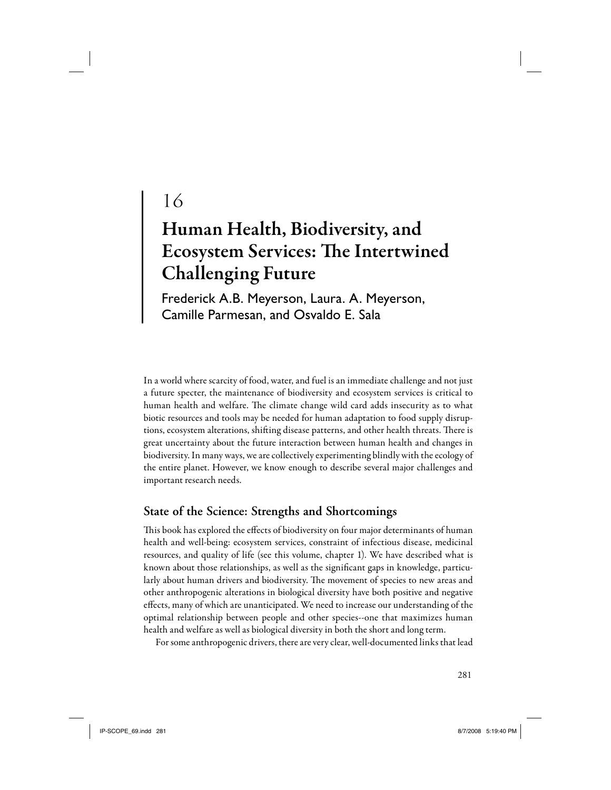## 16

# **Human Health, Biodiversity, and Ecosystem Services: The Intertwined Challenging Future**

Frederick A.B. Meyerson, Laura. A. Meyerson, Camille Parmesan, and Osvaldo E. Sala

In a world where scarcity of food, water, and fuel is an immediate challenge and not just a future specter, the maintenance of biodiversity and ecosystem services is critical to human health and welfare. The climate change wild card adds insecurity as to what biotic resources and tools may be needed for human adaptation to food supply disruptions, ecosystem alterations, shifting disease patterns, and other health threats. There is great uncertainty about the future interaction between human health and changes in biodiversity. In many ways, we are collectively experimenting blindly with the ecology of the entire planet. However, we know enough to describe several major challenges and important research needs.

## **State of the Science: Strengths and Shortcomings**

This book has explored the effects of biodiversity on four major determinants of human health and well-being: ecosystem services, constraint of infectious disease, medicinal resources, and quality of life (see this volume, chapter 1). We have described what is known about those relationships, as well as the significant gaps in knowledge, particularly about human drivers and biodiversity. The movement of species to new areas and other anthropogenic alterations in biological diversity have both positive and negative effects, many of which are unanticipated. We need to increase our understanding of the optimal relationship between people and other species--one that maximizes human health and welfare as well as biological diversity in both the short and long term.

For some anthropogenic drivers, there are very clear, well-documented links that lead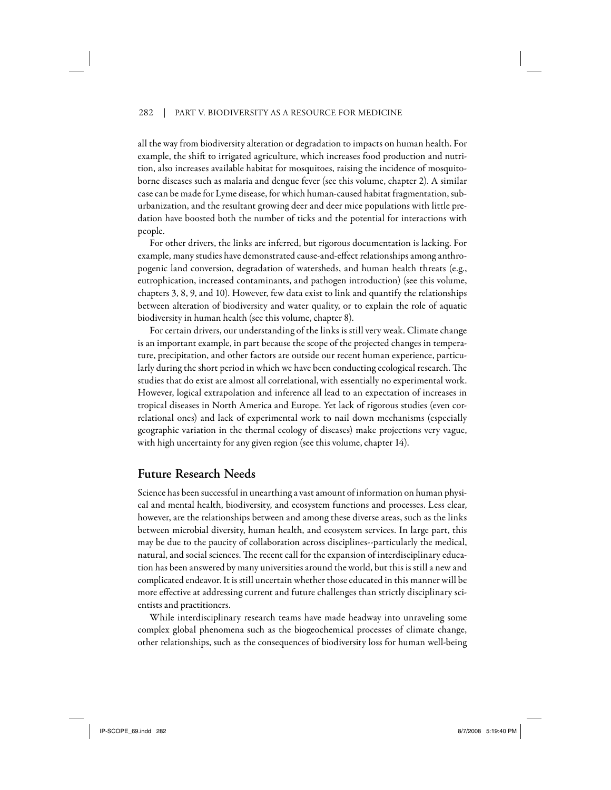#### 282 | PART V. BIODIVERSITY AS A RESOURCE FOR MEDICINE

all the way from biodiversity alteration or degradation to impacts on human health. For example, the shift to irrigated agriculture, which increases food production and nutrition, also increases available habitat for mosquitoes, raising the incidence of mosquitoborne diseases such as malaria and dengue fever (see this volume, chapter 2). A similar case can be made for Lyme disease, for which human-caused habitat fragmentation, suburbanization, and the resultant growing deer and deer mice populations with little predation have boosted both the number of ticks and the potential for interactions with people.

For other drivers, the links are inferred, but rigorous documentation is lacking. For example, many studies have demonstrated cause-and-effect relationships among anthropogenic land conversion, degradation of watersheds, and human health threats (e.g., eutrophication, increased contaminants, and pathogen introduction) (see this volume, chapters 3, 8, 9, and 10). However, few data exist to link and quantify the relationships between alteration of biodiversity and water quality, or to explain the role of aquatic biodiversity in human health (see this volume, chapter 8).

For certain drivers, our understanding of the links is still very weak. Climate change is an important example, in part because the scope of the projected changes in temperature, precipitation, and other factors are outside our recent human experience, particularly during the short period in which we have been conducting ecological research. The studies that do exist are almost all correlational, with essentially no experimental work. However, logical extrapolation and inference all lead to an expectation of increases in tropical diseases in North America and Europe. Yet lack of rigorous studies (even correlational ones) and lack of experimental work to nail down mechanisms (especially geographic variation in the thermal ecology of diseases) make projections very vague, with high uncertainty for any given region (see this volume, chapter 14).

## **Future Research Needs**

Science has been successful in unearthing a vast amount of information on human physical and mental health, biodiversity, and ecosystem functions and processes. Less clear, however, are the relationships between and among these diverse areas, such as the links between microbial diversity, human health, and ecosystem services. In large part, this may be due to the paucity of collaboration across disciplines--particularly the medical, natural, and social sciences. The recent call for the expansion of interdisciplinary education has been answered by many universities around the world, but this is still a new and complicated endeavor. It is still uncertain whether those educated in this manner will be more effective at addressing current and future challenges than strictly disciplinary scientists and practitioners.

While interdisciplinary research teams have made headway into unraveling some complex global phenomena such as the biogeochemical processes of climate change, other relationships, such as the consequences of biodiversity loss for human well-being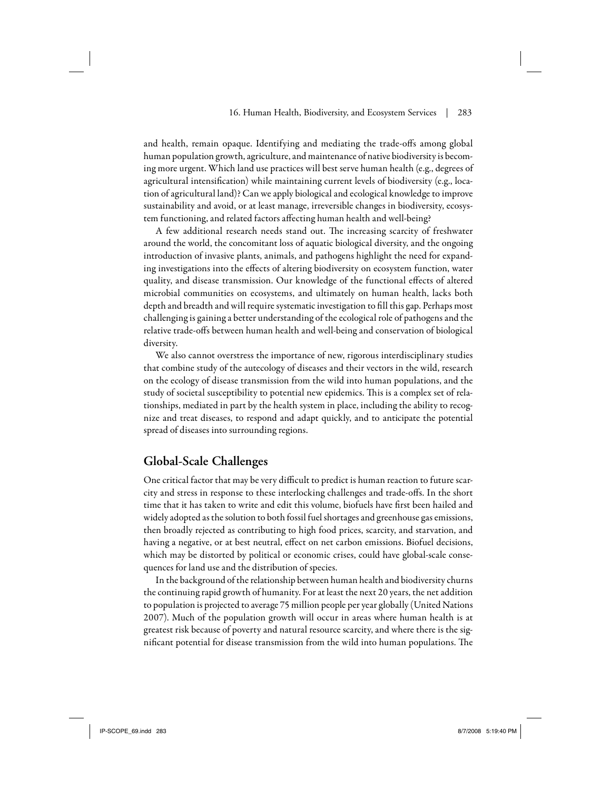#### 16. Human Health, Biodiversity, and Ecosystem Services | 283

and health, remain opaque. Identifying and mediating the trade-offs among global human population growth, agriculture, and maintenance of native biodiversity is becoming more urgent. Which land use practices will best serve human health (e.g., degrees of agricultural intensification) while maintaining current levels of biodiversity (e.g., location of agricultural land)? Can we apply biological and ecological knowledge to improve sustainability and avoid, or at least manage, irreversible changes in biodiversity, ecosystem functioning, and related factors affecting human health and well-being?

A few additional research needs stand out. The increasing scarcity of freshwater around the world, the concomitant loss of aquatic biological diversity, and the ongoing introduction of invasive plants, animals, and pathogens highlight the need for expanding investigations into the effects of altering biodiversity on ecosystem function, water quality, and disease transmission. Our knowledge of the functional effects of altered microbial communities on ecosystems, and ultimately on human health, lacks both depth and breadth and will require systematic investigation to fill this gap. Perhaps most challenging is gaining a better understanding of the ecological role of pathogens and the relative trade-offs between human health and well-being and conservation of biological diversity.

We also cannot overstress the importance of new, rigorous interdisciplinary studies that combine study of the autecology of diseases and their vectors in the wild, research on the ecology of disease transmission from the wild into human populations, and the study of societal susceptibility to potential new epidemics. This is a complex set of relationships, mediated in part by the health system in place, including the ability to recognize and treat diseases, to respond and adapt quickly, and to anticipate the potential spread of diseases into surrounding regions.

## **Global-Scale Challenges**

One critical factor that may be very difficult to predict is human reaction to future scarcity and stress in response to these interlocking challenges and trade-offs. In the short time that it has taken to write and edit this volume, biofuels have first been hailed and widely adopted as the solution to both fossil fuel shortages and greenhouse gas emissions, then broadly rejected as contributing to high food prices, scarcity, and starvation, and having a negative, or at best neutral, effect on net carbon emissions. Biofuel decisions, which may be distorted by political or economic crises, could have global-scale consequences for land use and the distribution of species.

In the background of the relationship between human health and biodiversity churns the continuing rapid growth of humanity. For at least the next 20 years, the net addition to population is projected to average 75 million people per year globally (United Nations 2007). Much of the population growth will occur in areas where human health is at greatest risk because of poverty and natural resource scarcity, and where there is the significant potential for disease transmission from the wild into human populations. The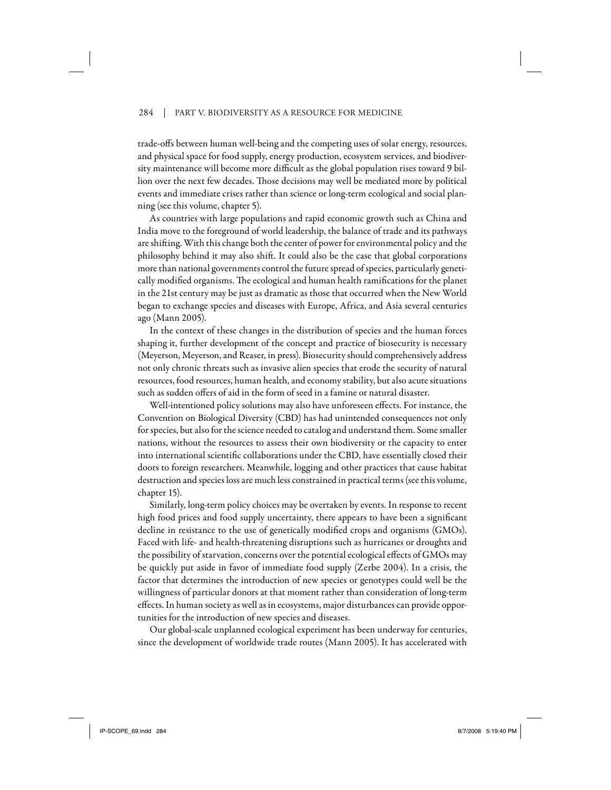#### 284 | PART V. BIODIVERSITY AS A RESOURCE FOR MEDICINE

trade-offs between human well-being and the competing uses of solar energy, resources, and physical space for food supply, energy production, ecosystem services, and biodiversity maintenance will become more difficult as the global population rises toward 9 billion over the next few decades. Those decisions may well be mediated more by political events and immediate crises rather than science or long-term ecological and social planning (see this volume, chapter 5).

As countries with large populations and rapid economic growth such as China and India move to the foreground of world leadership, the balance of trade and its pathways are shifting. With this change both the center of power for environmental policy and the philosophy behind it may also shift. It could also be the case that global corporations more than national governments control the future spread of species, particularly genetically modified organisms. The ecological and human health ramifications for the planet in the 21st century may be just as dramatic as those that occurred when the New World began to exchange species and diseases with Europe, Africa, and Asia several centuries ago (Mann 2005).

In the context of these changes in the distribution of species and the human forces shaping it, further development of the concept and practice of biosecurity is necessary (Meyerson, Meyerson, and Reaser, in press). Biosecurity should comprehensively address not only chronic threats such as invasive alien species that erode the security of natural resources, food resources, human health, and economy stability, but also acute situations such as sudden offers of aid in the form of seed in a famine or natural disaster.

Well-intentioned policy solutions may also have unforeseen effects. For instance, the Convention on Biological Diversity (CBD) has had unintended consequences not only for species, but also for the science needed to catalog and understand them. Some smaller nations, without the resources to assess their own biodiversity or the capacity to enter into international scientific collaborations under the CBD, have essentially closed their doors to foreign researchers. Meanwhile, logging and other practices that cause habitat destruction and species loss are much less constrained in practical terms (see this volume, chapter 15).

Similarly, long-term policy choices may be overtaken by events. In response to recent high food prices and food supply uncertainty, there appears to have been a significant decline in resistance to the use of genetically modified crops and organisms (GMOs). Faced with life- and health-threatening disruptions such as hurricanes or droughts and the possibility of starvation, concerns over the potential ecological effects of GMOs may be quickly put aside in favor of immediate food supply (Zerbe 2004). In a crisis, the factor that determines the introduction of new species or genotypes could well be the willingness of particular donors at that moment rather than consideration of long-term effects. In human society as well as in ecosystems, major disturbances can provide opportunities for the introduction of new species and diseases.

Our global-scale unplanned ecological experiment has been underway for centuries, since the development of worldwide trade routes (Mann 2005). It has accelerated with